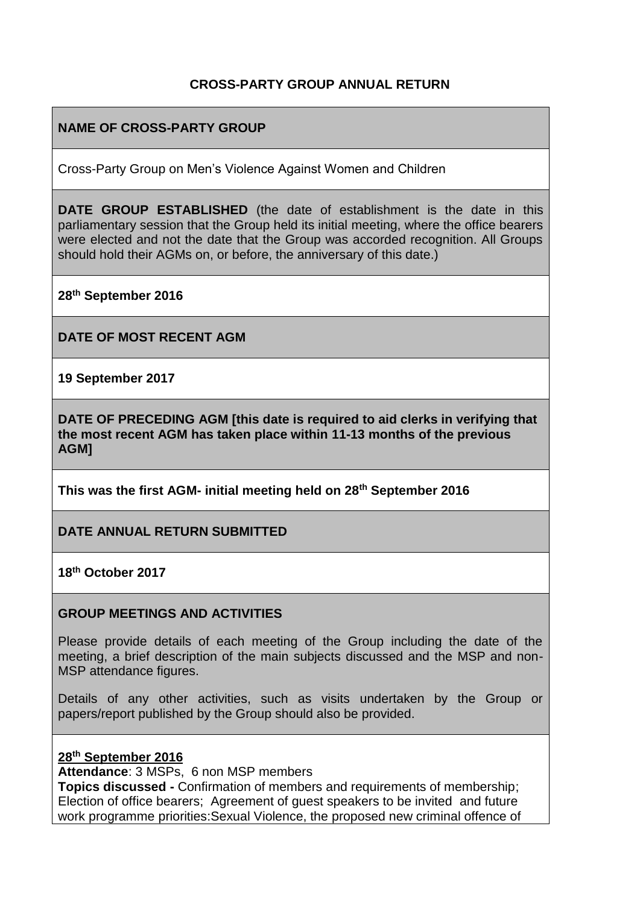### **CROSS-PARTY GROUP ANNUAL RETURN**

### **NAME OF CROSS-PARTY GROUP**

Cross-Party Group on Men's Violence Against Women and Children

**DATE GROUP ESTABLISHED** (the date of establishment is the date in this parliamentary session that the Group held its initial meeting, where the office bearers were elected and not the date that the Group was accorded recognition. All Groups should hold their AGMs on, or before, the anniversary of this date.)

**28th September 2016**

**DATE OF MOST RECENT AGM**

**19 September 2017**

**DATE OF PRECEDING AGM [this date is required to aid clerks in verifying that the most recent AGM has taken place within 11-13 months of the previous AGM]**

**This was the first AGM- initial meeting held on 28th September 2016**

**DATE ANNUAL RETURN SUBMITTED**

**18th October 2017**

#### **GROUP MEETINGS AND ACTIVITIES**

Please provide details of each meeting of the Group including the date of the meeting, a brief description of the main subjects discussed and the MSP and non-MSP attendance figures.

Details of any other activities, such as visits undertaken by the Group or papers/report published by the Group should also be provided.

#### **28th September 2016**

**Attendance**: 3 MSPs, 6 non MSP members

**Topics discussed -** Confirmation of members and requirements of membership; Election of office bearers; Agreement of guest speakers to be invited and future work programme priorities:Sexual Violence, the proposed new criminal offence of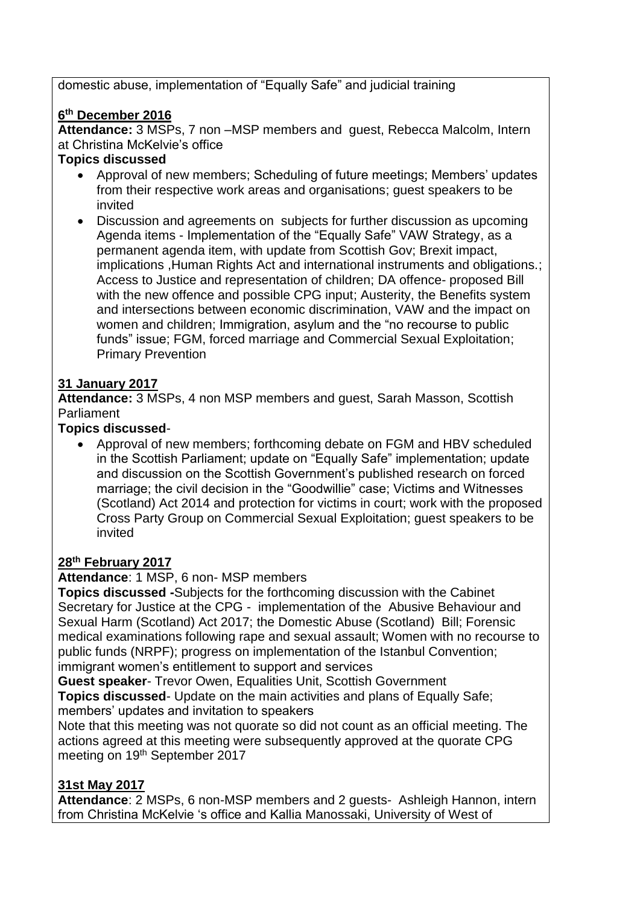domestic abuse, implementation of "Equally Safe" and judicial training

## **6 th December 2016**

**Attendance:** 3 MSPs, 7 non –MSP members and guest, Rebecca Malcolm, Intern at Christina McKelvie's office

## **Topics discussed**

- Approval of new members; Scheduling of future meetings; Members' updates from their respective work areas and organisations; guest speakers to be invited
- Discussion and agreements on subjects for further discussion as upcoming Agenda items - Implementation of the "Equally Safe" VAW Strategy, as a permanent agenda item, with update from Scottish Gov; Brexit impact, implications ,Human Rights Act and international instruments and obligations.; Access to Justice and representation of children; DA offence- proposed Bill with the new offence and possible CPG input: Austerity, the Benefits system and intersections between economic discrimination, VAW and the impact on women and children; Immigration, asylum and the "no recourse to public funds" issue; FGM, forced marriage and Commercial Sexual Exploitation; Primary Prevention

# **31 January 2017**

**Attendance:** 3 MSPs, 4 non MSP members and guest, Sarah Masson, Scottish Parliament

## **Topics discussed**-

 Approval of new members; forthcoming debate on FGM and HBV scheduled in the Scottish Parliament; update on "Equally Safe" implementation; update and discussion on the Scottish Government's published research on forced marriage; the civil decision in the "Goodwillie" case; Victims and Witnesses (Scotland) Act 2014 and protection for victims in court; work with the proposed Cross Party Group on Commercial Sexual Exploitation; guest speakers to be invited

## **28th February 2017**

**Attendance**: 1 MSP, 6 non- MSP members

**Topics discussed -**Subjects for the forthcoming discussion with the Cabinet Secretary for Justice at the CPG - implementation of the Abusive Behaviour and Sexual Harm (Scotland) Act 2017; the Domestic Abuse (Scotland) Bill; Forensic medical examinations following rape and sexual assault; Women with no recourse to public funds (NRPF); progress on implementation of the Istanbul Convention; immigrant women's entitlement to support and services

**Guest speaker**- Trevor Owen, Equalities Unit, Scottish Government **Topics discussed**- Update on the main activities and plans of Equally Safe; members' updates and invitation to speakers

Note that this meeting was not quorate so did not count as an official meeting. The actions agreed at this meeting were subsequently approved at the quorate CPG meeting on 19<sup>th</sup> September 2017

## **31st May 2017**

**Attendance**: 2 MSPs, 6 non-MSP members and 2 guests- Ashleigh Hannon, intern from Christina McKelvie 's office and Kallia Manossaki, University of West of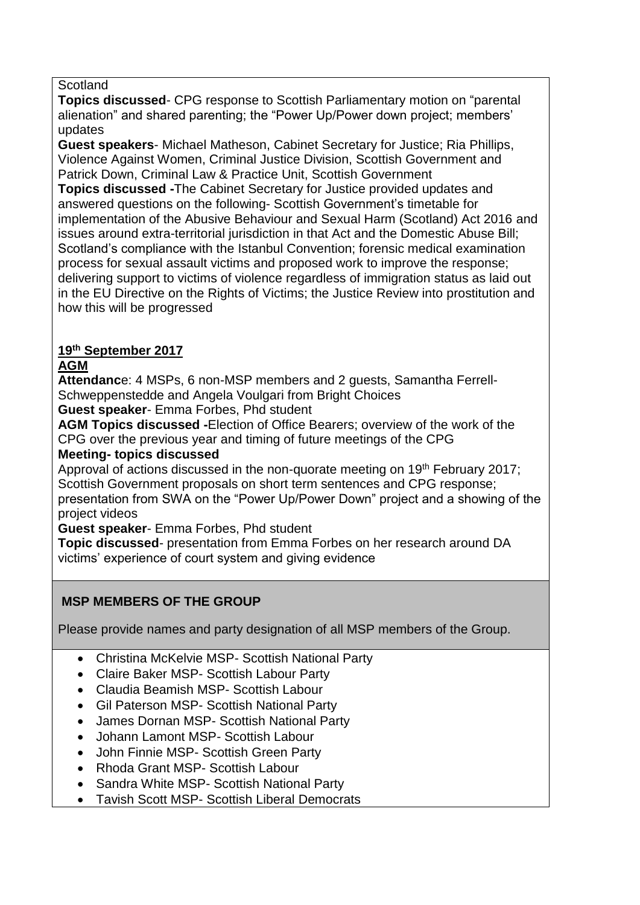#### **Scotland**

**Topics discussed**- CPG response to Scottish Parliamentary motion on "parental alienation" and shared parenting; the "Power Up/Power down project; members' updates

**Guest speakers**- Michael Matheson, Cabinet Secretary for Justice; Ria Phillips, Violence Against Women, Criminal Justice Division, Scottish Government and Patrick Down, Criminal Law & Practice Unit, Scottish Government **Topics discussed -**The Cabinet Secretary for Justice provided updates and answered questions on the following- Scottish Government's timetable for implementation of the Abusive Behaviour and Sexual Harm (Scotland) Act 2016 and issues around extra-territorial jurisdiction in that Act and the Domestic Abuse Bill; Scotland's compliance with the Istanbul Convention; forensic medical examination process for sexual assault victims and proposed work to improve the response; delivering support to victims of violence regardless of immigration status as laid out in the EU Directive on the Rights of Victims; the Justice Review into prostitution and how this will be progressed

# **19th September 2017**

### **AGM**

**Attendanc**e: 4 MSPs, 6 non-MSP members and 2 guests, Samantha Ferrell-Schweppenstedde and Angela Voulgari from Bright Choices

**Guest speaker**- Emma Forbes, Phd student

**AGM Topics discussed -**Election of Office Bearers; overview of the work of the CPG over the previous year and timing of future meetings of the CPG **Meeting- topics discussed**

Approval of actions discussed in the non-quorate meeting on 19<sup>th</sup> February 2017; Scottish Government proposals on short term sentences and CPG response; presentation from SWA on the "Power Up/Power Down" project and a showing of the project videos

**Guest speaker**- Emma Forbes, Phd student

**Topic discussed**- presentation from Emma Forbes on her research around DA victims' experience of court system and giving evidence

### **MSP MEMBERS OF THE GROUP**

Please provide names and party designation of all MSP members of the Group.

- Christina McKelvie MSP- Scottish National Party
- Claire Baker MSP- Scottish Labour Party
- Claudia Beamish MSP- Scottish Labour
- Gil Paterson MSP- Scottish National Party
- James Dornan MSP- Scottish National Party
- Johann Lamont MSP- Scottish Labour
- John Finnie MSP- Scottish Green Party
- Rhoda Grant MSP- Scottish Labour
- Sandra White MSP- Scottish National Party
- Tavish Scott MSP- Scottish Liberal Democrats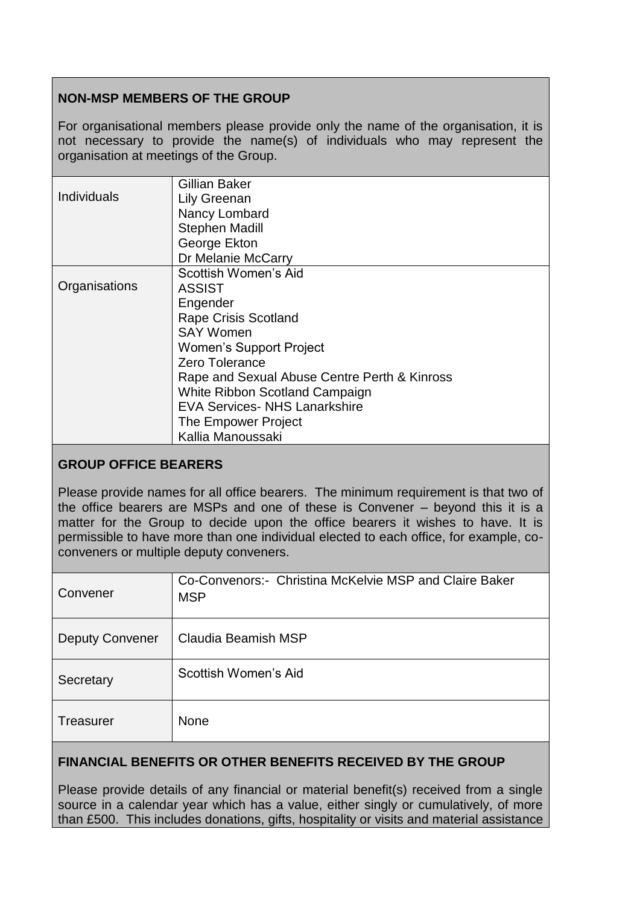## **NON-MSP MEMBERS OF THE GROUP**

For organisational members please provide only the name of the organisation, it is not necessary to provide the name(s) of individuals who may represent the organisation at meetings of the Group.

|                    | Gillian Baker                                |
|--------------------|----------------------------------------------|
| <b>Individuals</b> | <b>Lily Greenan</b>                          |
|                    | Nancy Lombard                                |
|                    | <b>Stephen Madill</b>                        |
|                    | George Ekton                                 |
|                    | Dr Melanie McCarry                           |
|                    | Scottish Women's Aid                         |
| Organisations      | <b>ASSIST</b>                                |
|                    | Engender                                     |
|                    | <b>Rape Crisis Scotland</b>                  |
|                    | <b>SAY Women</b>                             |
|                    | <b>Women's Support Project</b>               |
|                    | Zero Tolerance                               |
|                    | Rape and Sexual Abuse Centre Perth & Kinross |
|                    | White Ribbon Scotland Campaign               |
|                    | <b>EVA Services- NHS Lanarkshire</b>         |
|                    | The Empower Project                          |
|                    | Kallia Manoussaki                            |

### **GROUP OFFICE BEARERS**

Please provide names for all office bearers. The minimum requirement is that two of the office bearers are MSPs and one of these is Convener – beyond this it is a matter for the Group to decide upon the office bearers it wishes to have. It is permissible to have more than one individual elected to each office, for example, coconveners or multiple deputy conveners.

| Convener               | Co-Convenors: - Christina McKelvie MSP and Claire Baker<br><b>MSP</b> |
|------------------------|-----------------------------------------------------------------------|
| <b>Deputy Convener</b> | Claudia Beamish MSP                                                   |
| Secretary              | Scottish Women's Aid                                                  |
| Treasurer              | <b>None</b>                                                           |

### **FINANCIAL BENEFITS OR OTHER BENEFITS RECEIVED BY THE GROUP**

Please provide details of any financial or material benefit(s) received from a single source in a calendar year which has a value, either singly or cumulatively, of more than £500. This includes donations, gifts, hospitality or visits and material assistance